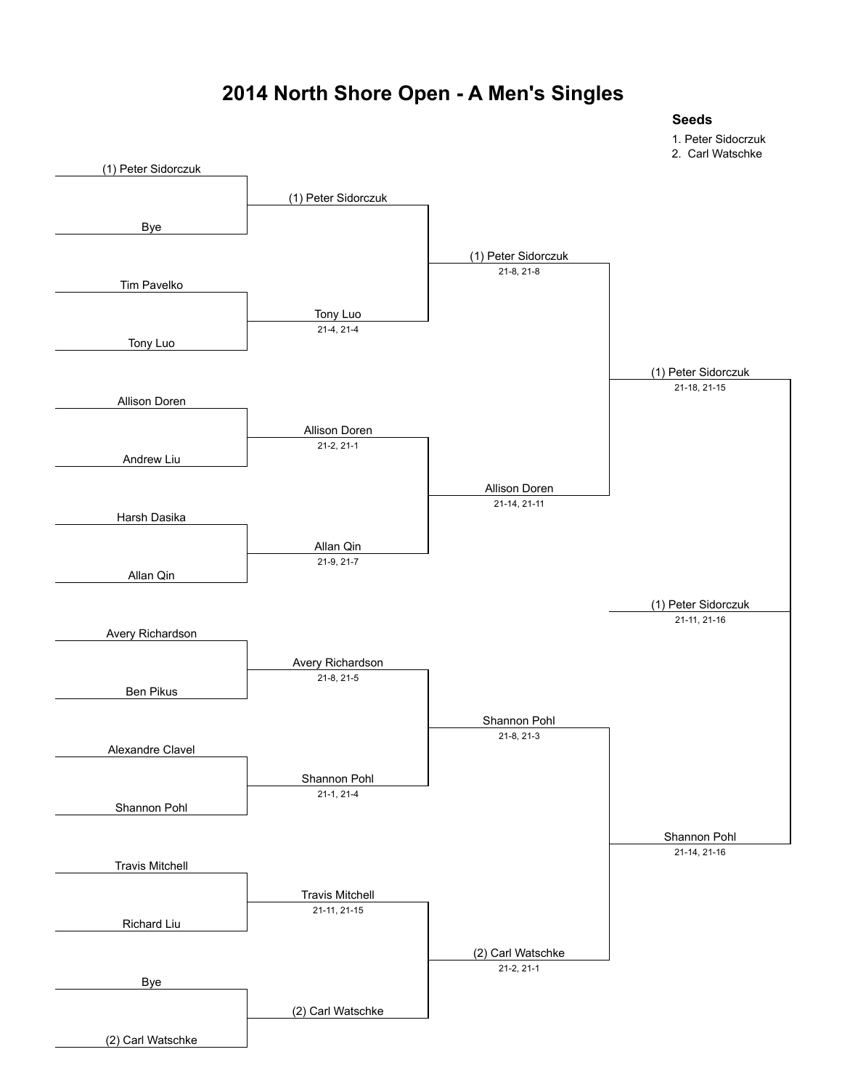### **2014 North Shore Open - A Men's Singles**

**Seeds**

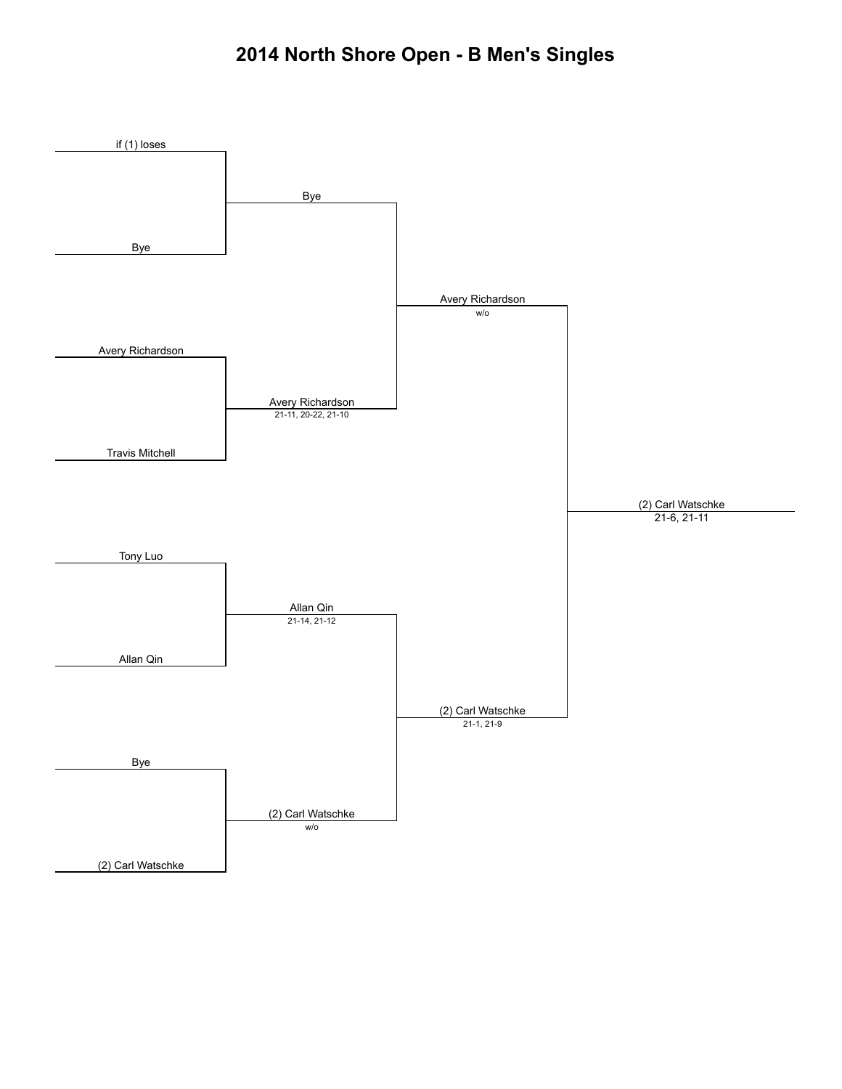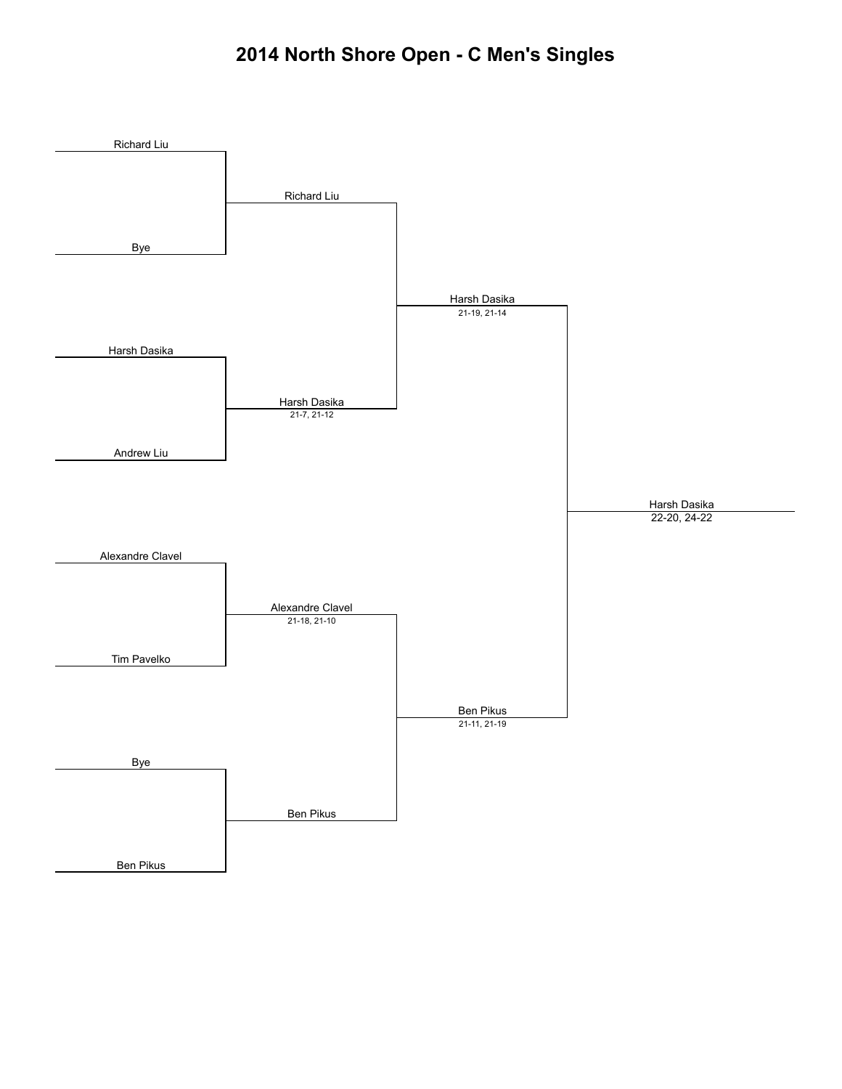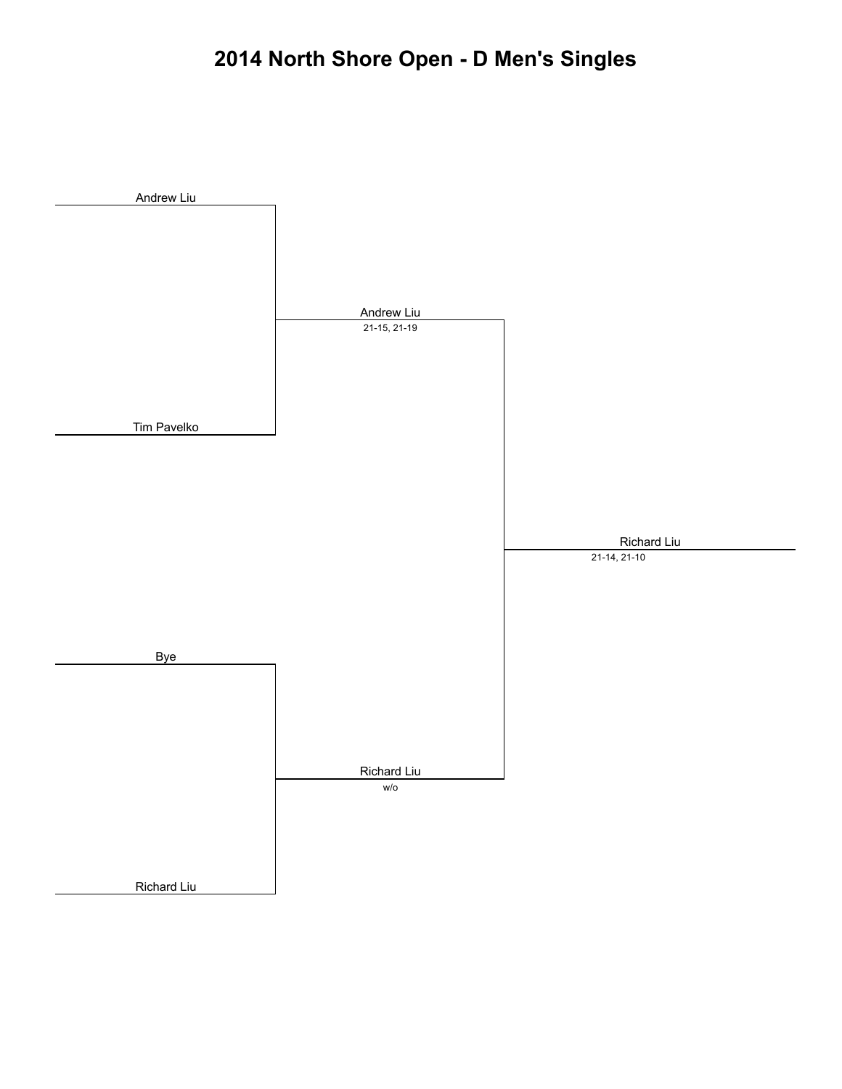# **2014 North Shore Open - D Men's Singles**

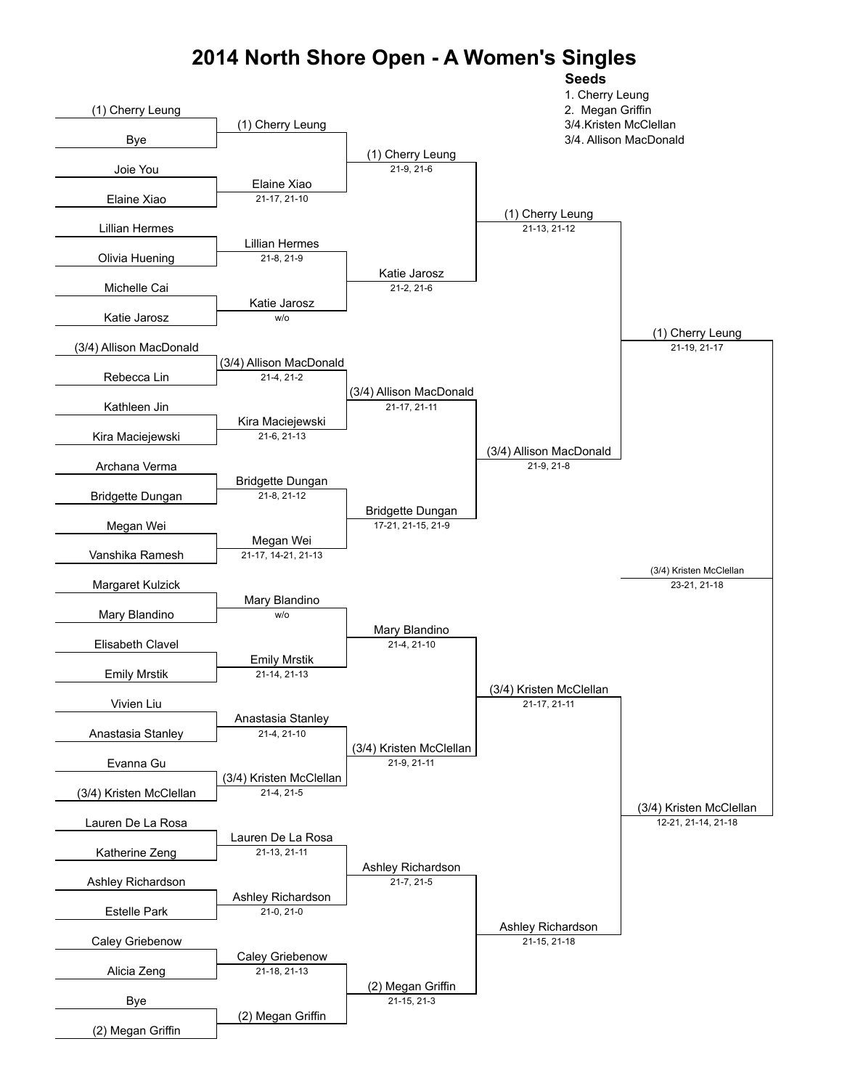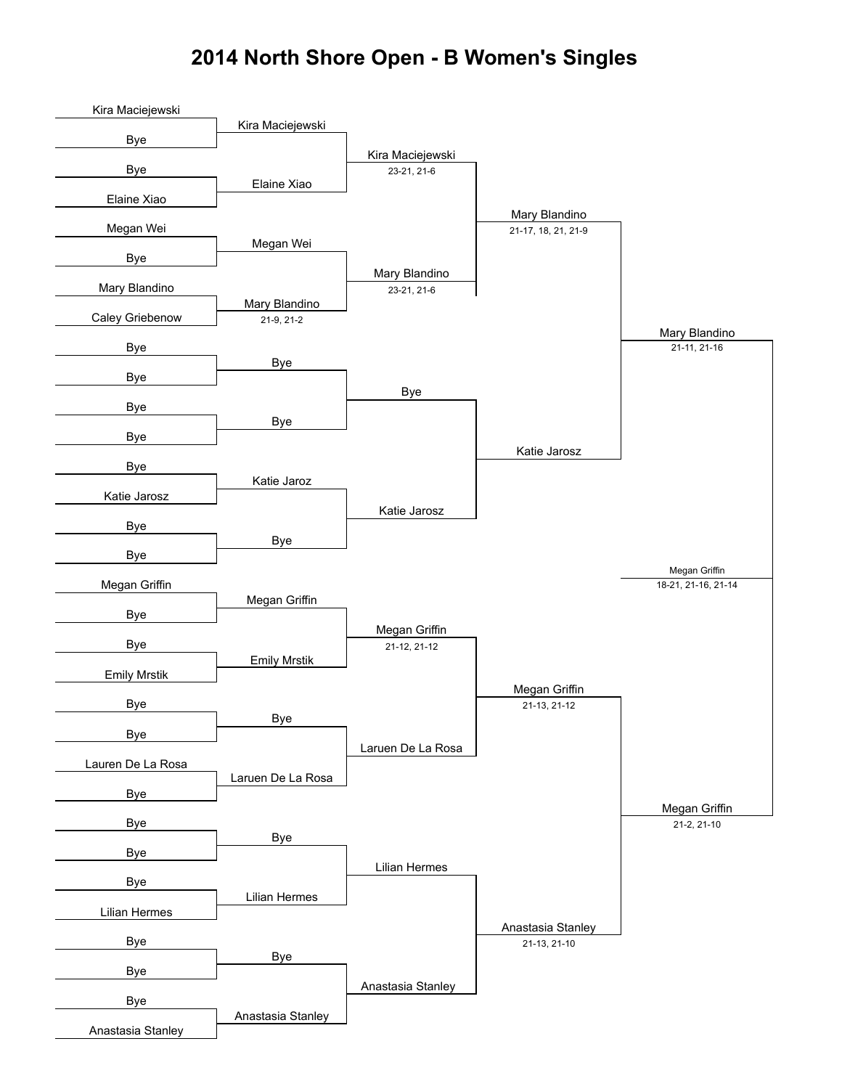### **2014 North Shore Open - B Women's Singles**

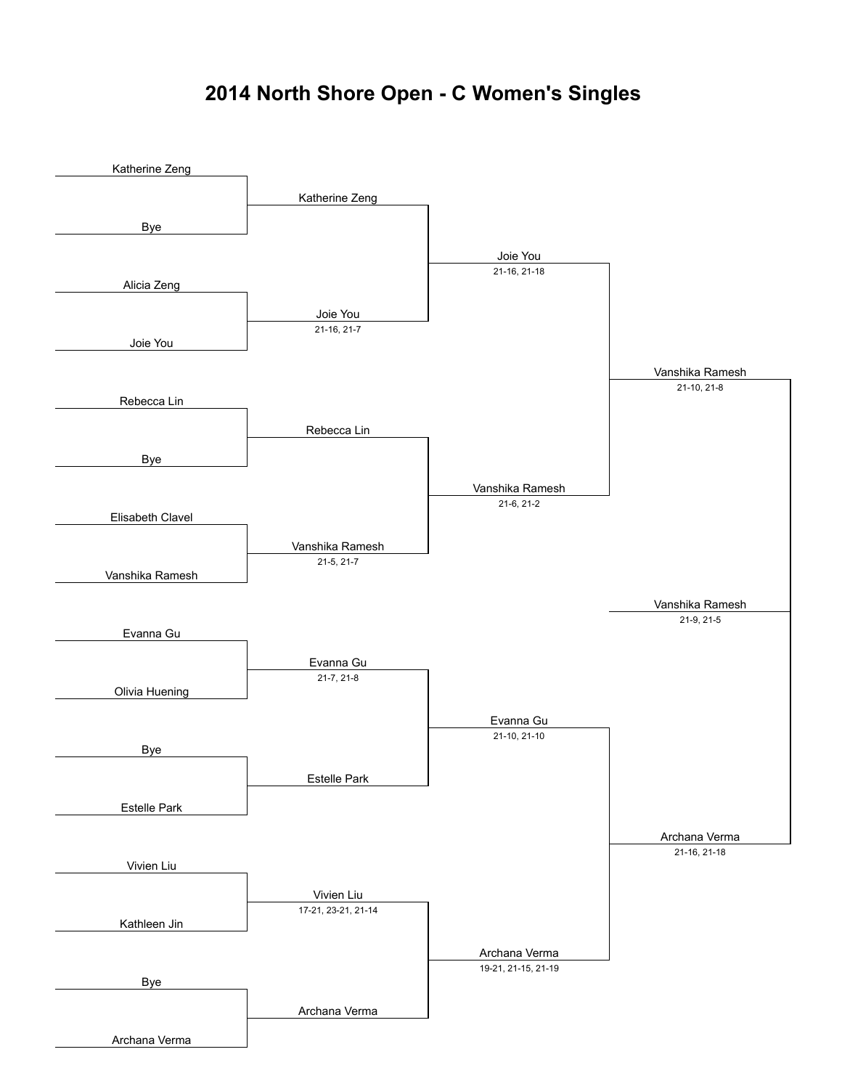### **2014 North Shore Open - C Women's Singles**

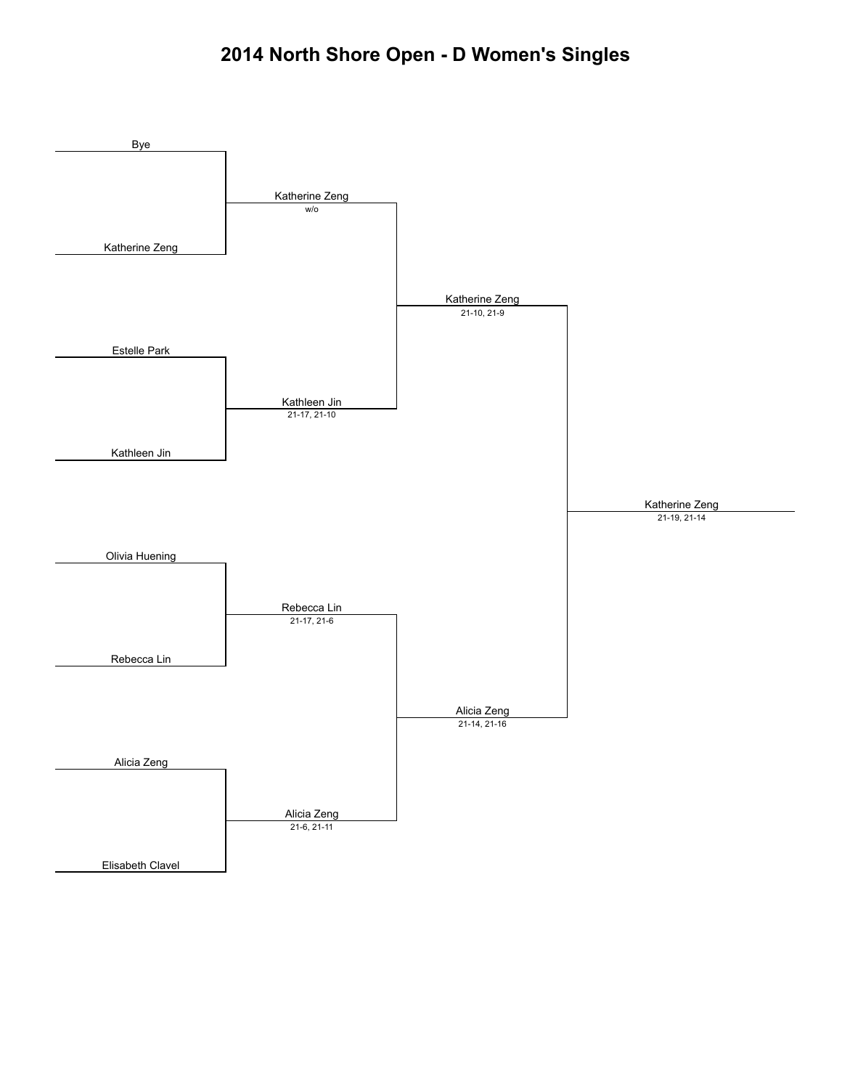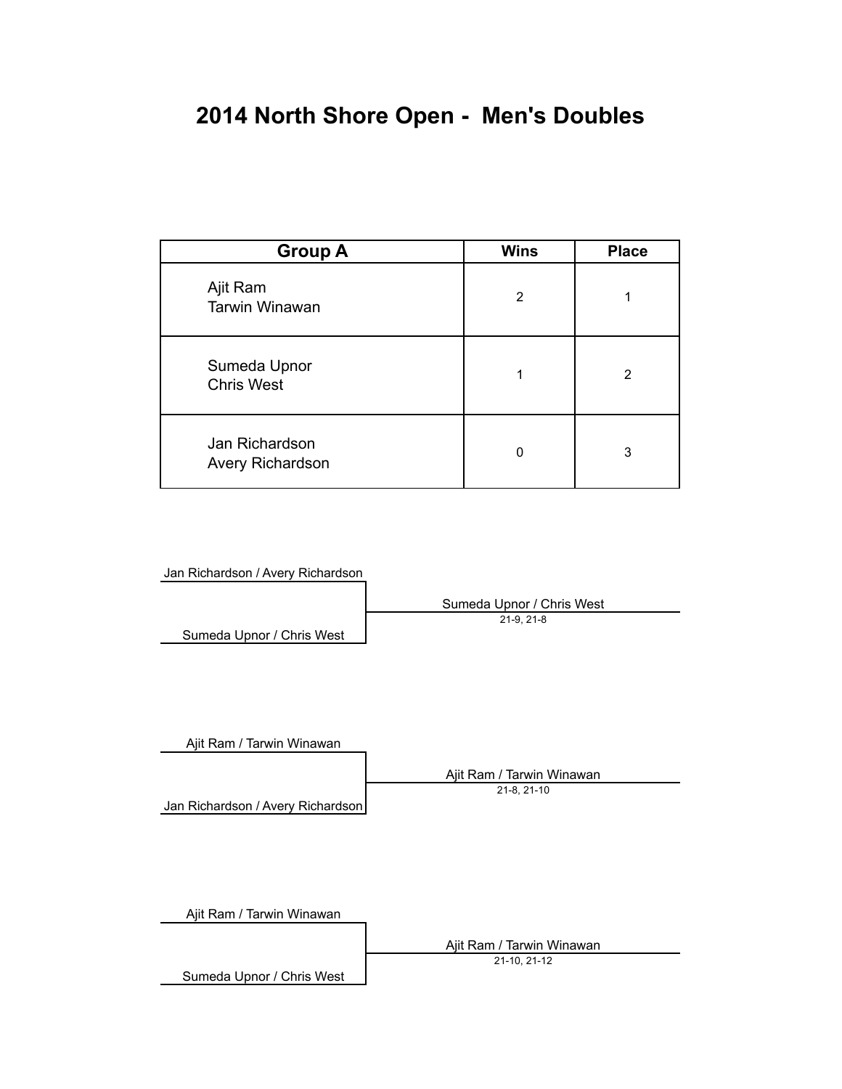# **2014 North Shore Open - Men's Doubles**

| <b>Group A</b>                     | <b>Wins</b>    | <b>Place</b> |
|------------------------------------|----------------|--------------|
| Ajit Ram<br><b>Tarwin Winawan</b>  | $\overline{2}$ |              |
| Sumeda Upnor<br><b>Chris West</b>  | 1              | 2            |
| Jan Richardson<br>Avery Richardson | $\Omega$       | 3            |

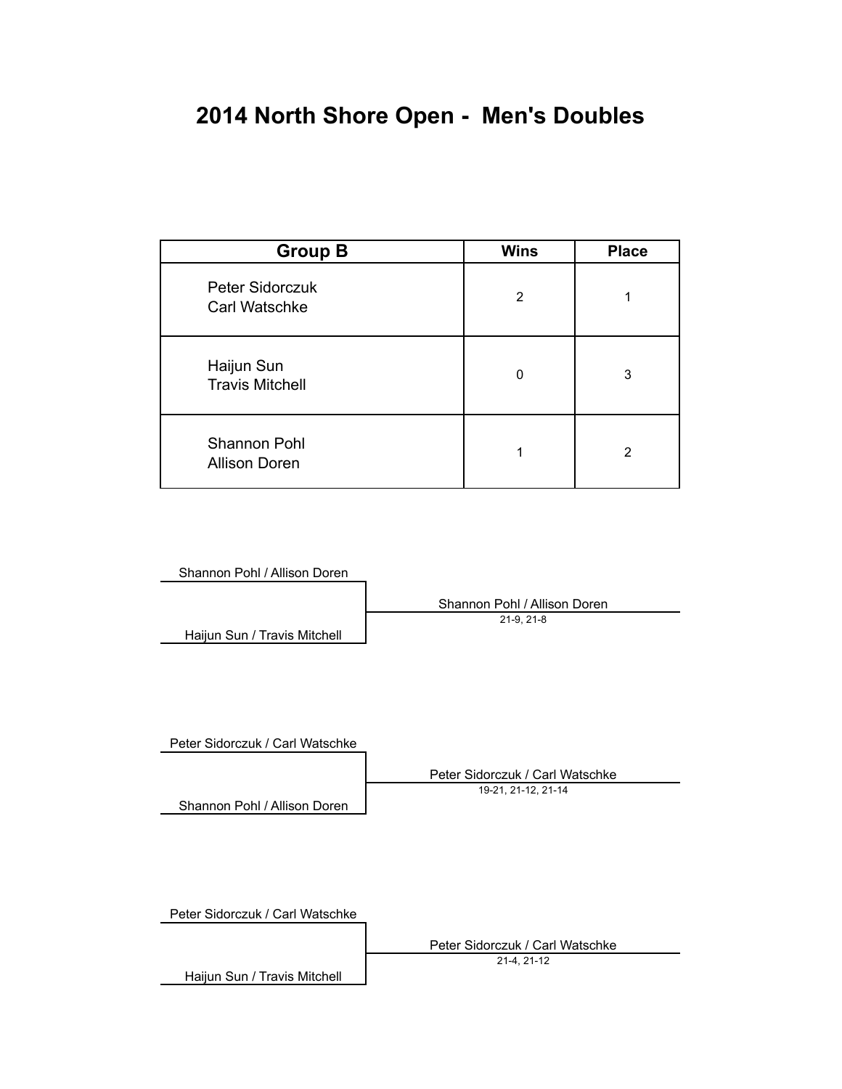# **2014 North Shore Open - Men's Doubles**

| <b>Group B</b>                       | <b>Wins</b> | <b>Place</b> |
|--------------------------------------|-------------|--------------|
| Peter Sidorczuk<br>Carl Watschke     | 2           |              |
| Haijun Sun<br><b>Travis Mitchell</b> | 0           | 3            |
| Shannon Pohl<br><b>Allison Doren</b> |             | 2            |

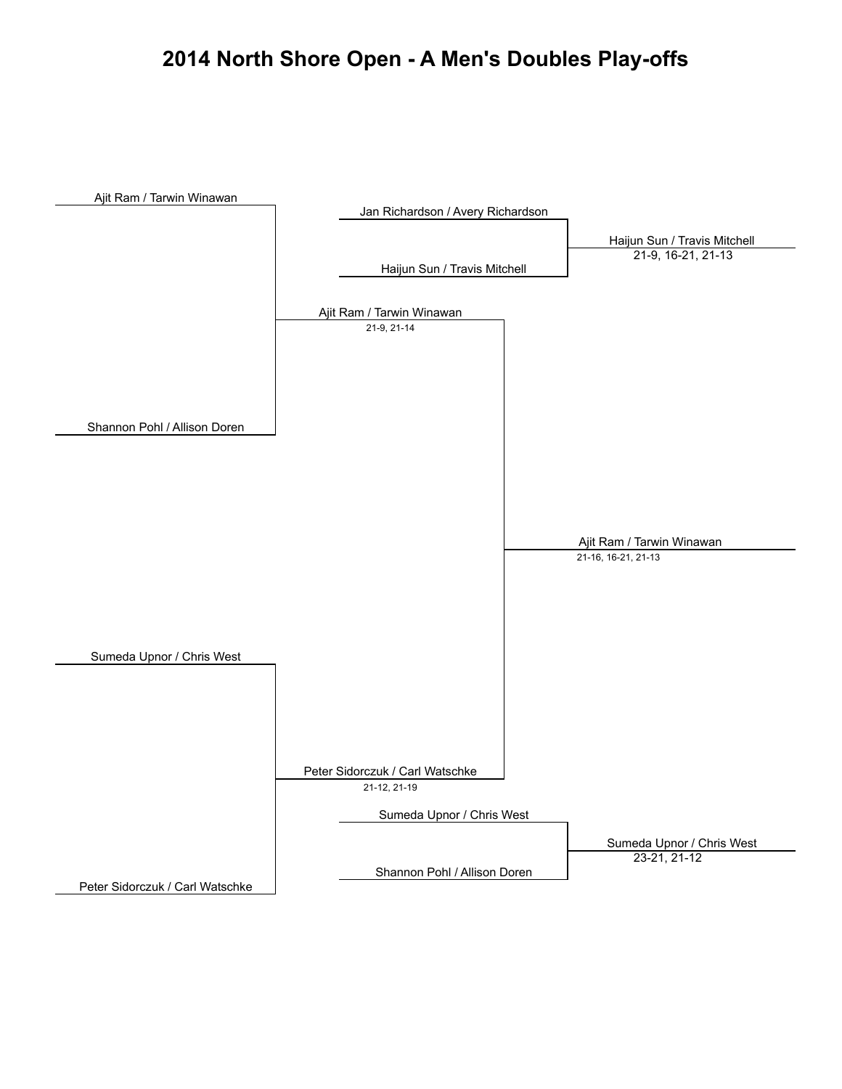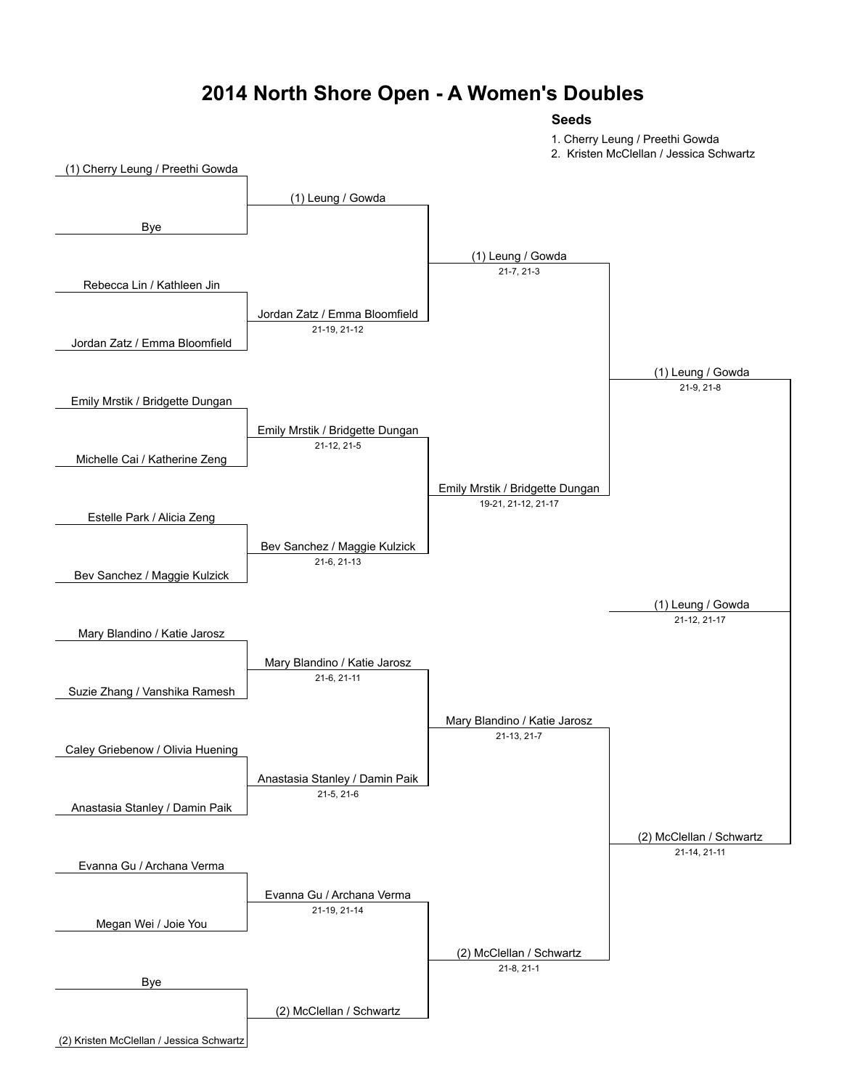### **2014 North Shore Open - A Women's Doubles**

#### **Seeds**

1. Cherry Leung / Preethi Gowda

2. Kristen McClellan / Jessica Schwartz

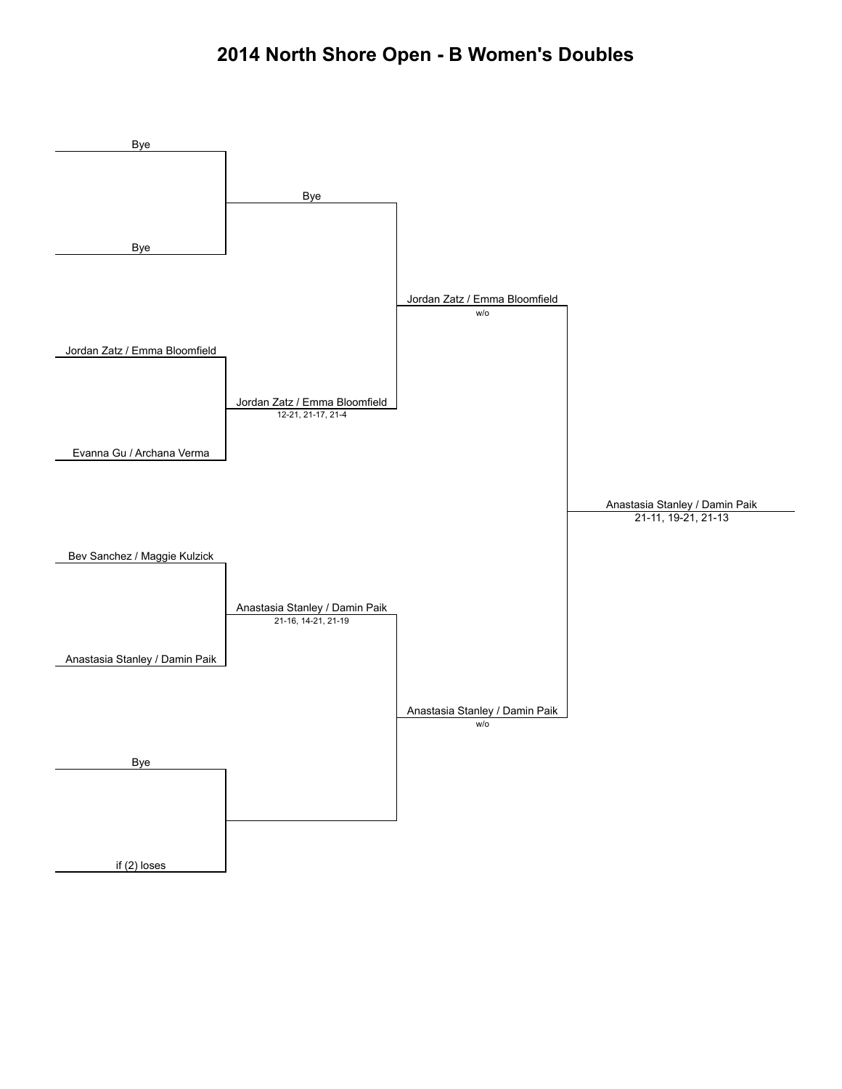### **2014 North Shore Open - B Women's Doubles**

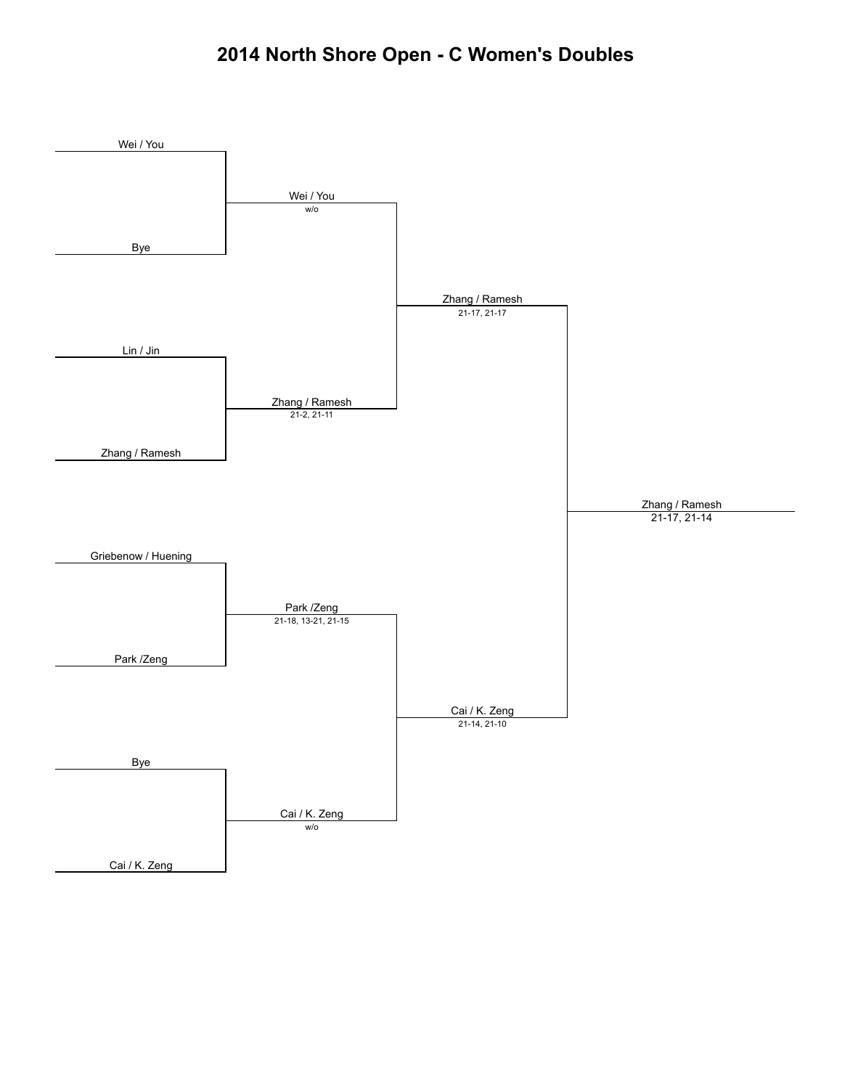### **2014 North Shore Open - C Women's Doubles**

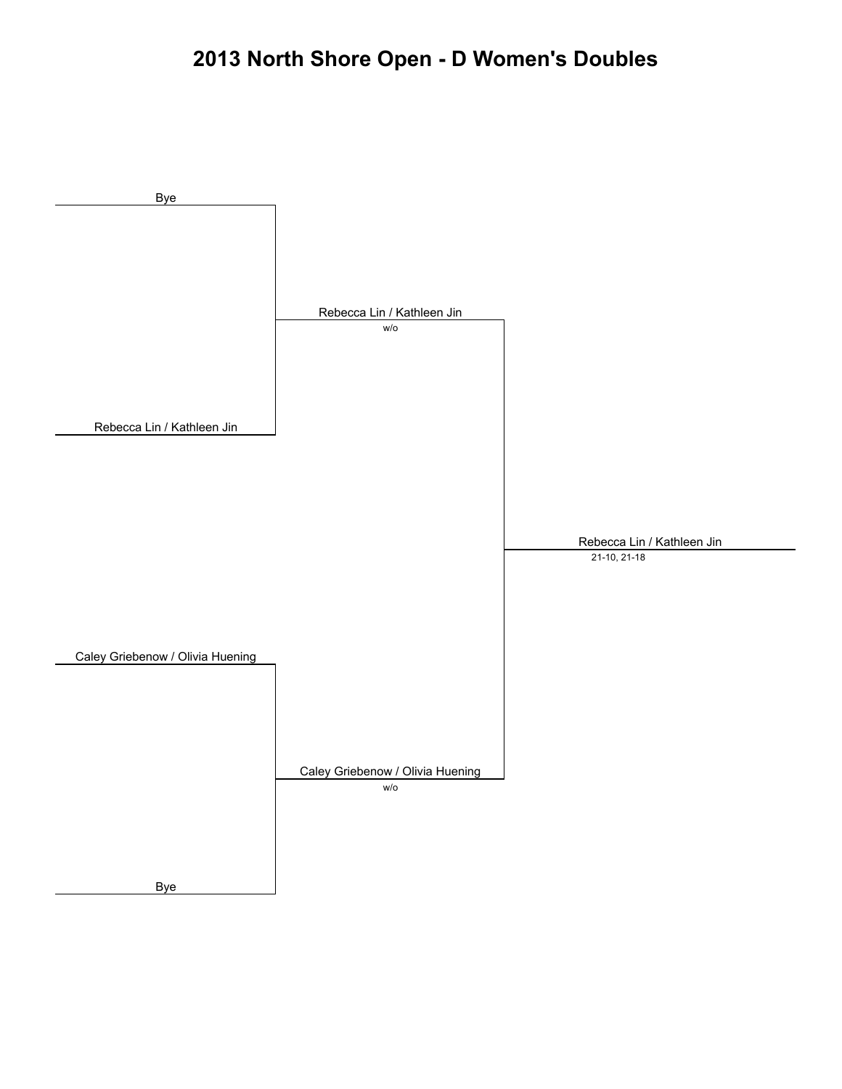# **2013 North Shore Open - D Women's Doubles**

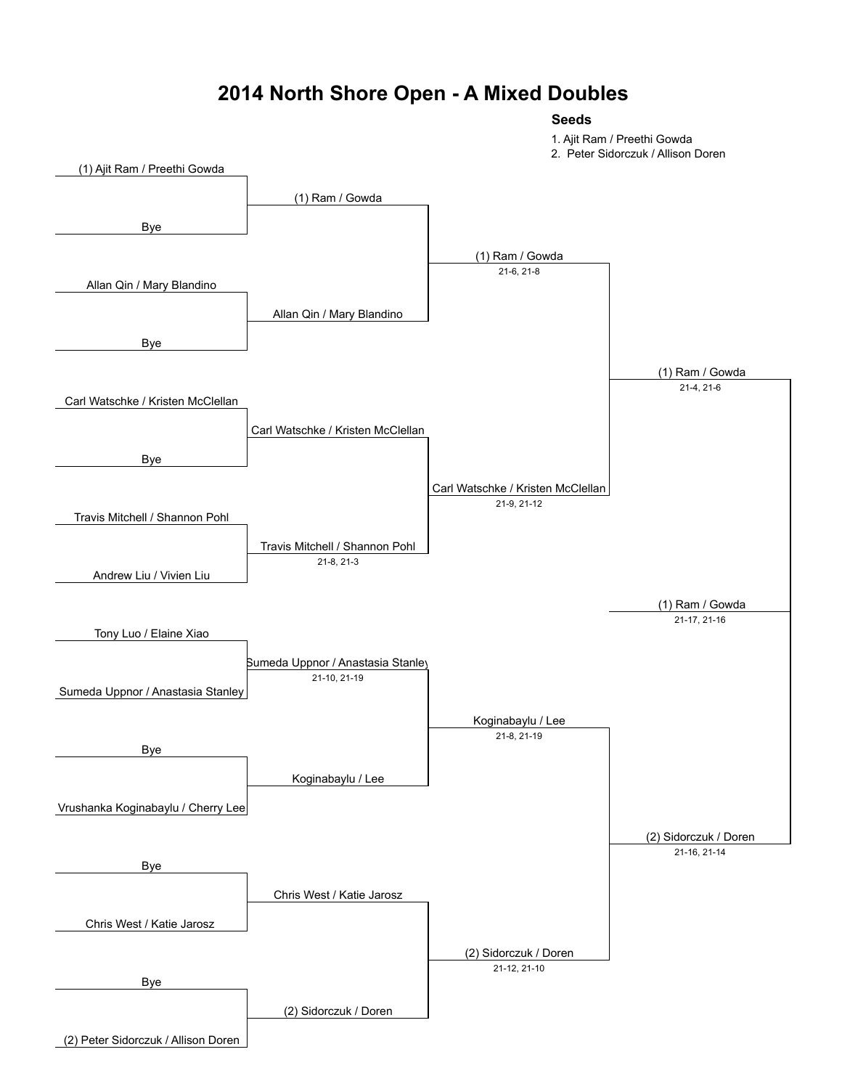### **2014 North Shore Open - A Mixed Doubles**

**Seeds**

1. Ajit Ram / Preethi Gowda

2. Peter Sidorczuk / Allison Doren

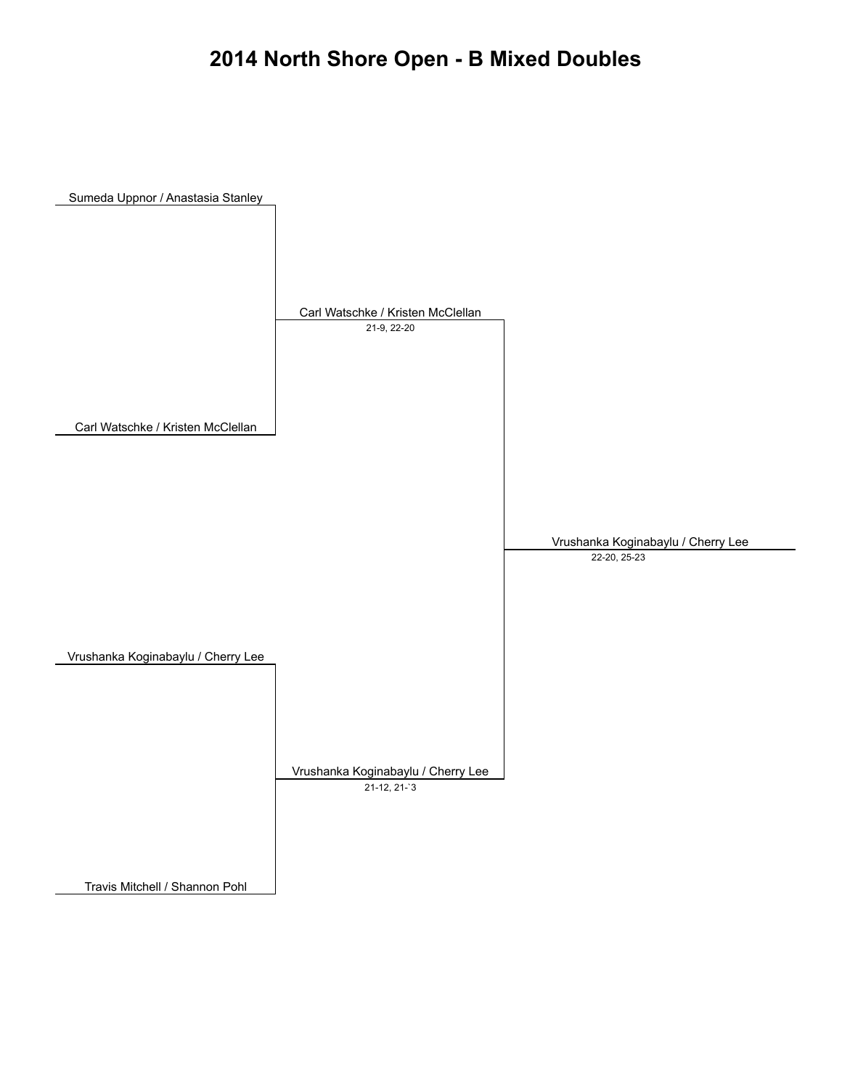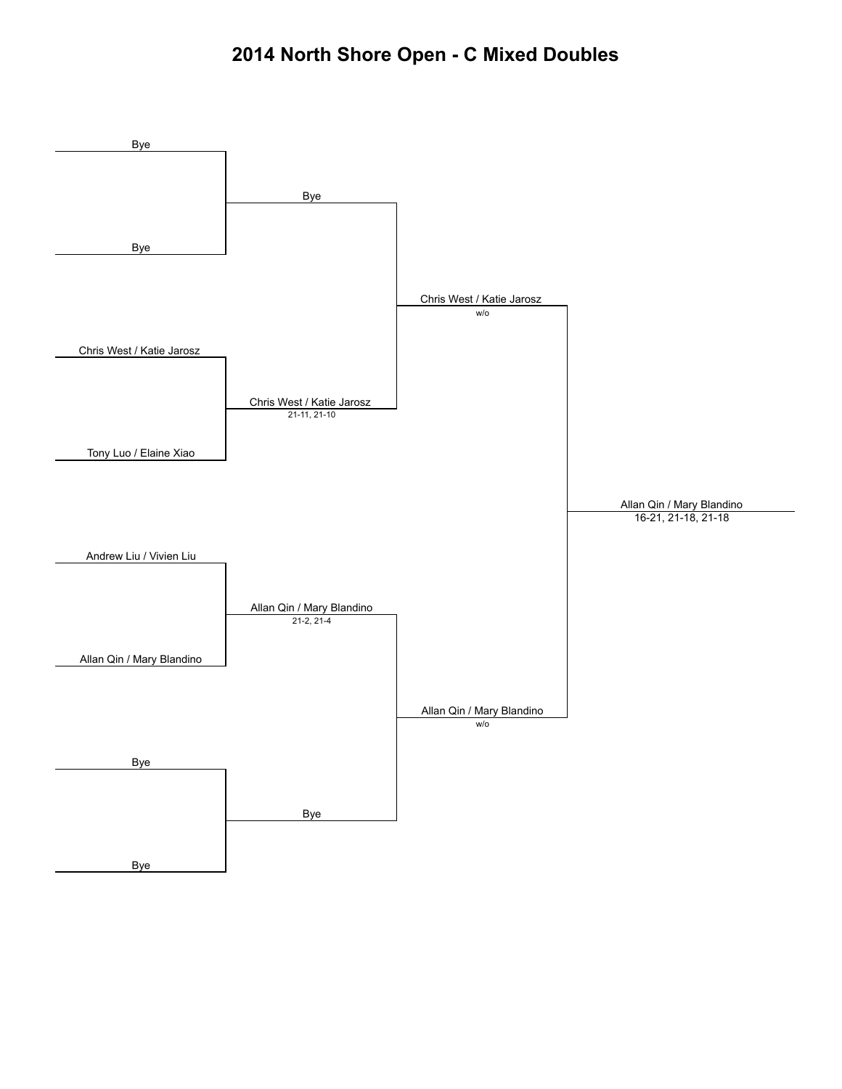